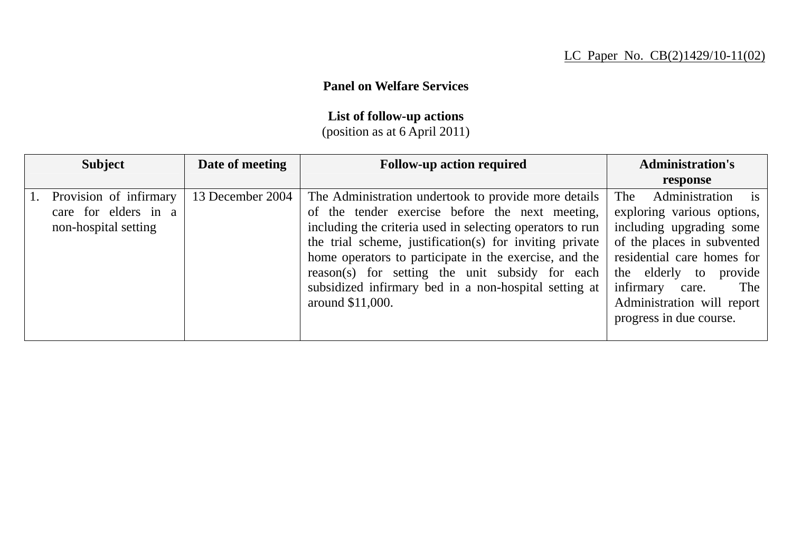## **Panel on Welfare Services**

## **List of follow-up actions**

(position as at 6 April 2011)

| <b>Subject</b>                                                         | Date of meeting  | <b>Follow-up action required</b>                                                                                                                                                                                                                                                                                                                                                                                          | <b>Administration's</b>                                                                                                                                                                                                                                                     |
|------------------------------------------------------------------------|------------------|---------------------------------------------------------------------------------------------------------------------------------------------------------------------------------------------------------------------------------------------------------------------------------------------------------------------------------------------------------------------------------------------------------------------------|-----------------------------------------------------------------------------------------------------------------------------------------------------------------------------------------------------------------------------------------------------------------------------|
|                                                                        |                  |                                                                                                                                                                                                                                                                                                                                                                                                                           | response                                                                                                                                                                                                                                                                    |
| Provision of infirmary<br>care for elders in a<br>non-hospital setting | 13 December 2004 | The Administration undertook to provide more details<br>of the tender exercise before the next meeting,<br>including the criteria used in selecting operators to run<br>the trial scheme, justification(s) for inviting private<br>home operators to participate in the exercise, and the<br>reason(s) for setting the unit subsidy for each<br>subsidized infirmary bed in a non-hospital setting at<br>around \$11,000. | Administration is<br><b>The</b><br>exploring various options,<br>including upgrading some<br>of the places in subvented<br>residential care homes for<br>the elderly<br>provide<br>to<br>infirmary<br>The<br>care.<br>Administration will report<br>progress in due course. |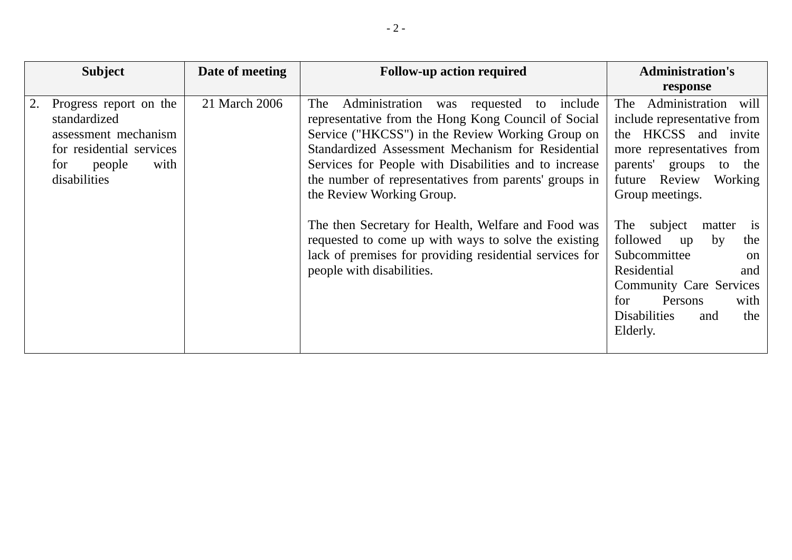| <b>Subject</b>                                                                                                                      | Date of meeting | <b>Follow-up action required</b>                                                                                                                                                                                                                                                                                                                                                                                                                                                                                                                                        | <b>Administration's</b>                                                                                                                                                                                                                                                                                                                                                                                                              |
|-------------------------------------------------------------------------------------------------------------------------------------|-----------------|-------------------------------------------------------------------------------------------------------------------------------------------------------------------------------------------------------------------------------------------------------------------------------------------------------------------------------------------------------------------------------------------------------------------------------------------------------------------------------------------------------------------------------------------------------------------------|--------------------------------------------------------------------------------------------------------------------------------------------------------------------------------------------------------------------------------------------------------------------------------------------------------------------------------------------------------------------------------------------------------------------------------------|
|                                                                                                                                     |                 |                                                                                                                                                                                                                                                                                                                                                                                                                                                                                                                                                                         | response                                                                                                                                                                                                                                                                                                                                                                                                                             |
| Progress report on the<br>standardized<br>assessment mechanism<br>for residential services<br>with<br>people<br>for<br>disabilities | 21 March 2006   | The<br>Administration was requested to<br>include<br>representative from the Hong Kong Council of Social<br>Service ("HKCSS") in the Review Working Group on<br>Standardized Assessment Mechanism for Residential<br>Services for People with Disabilities and to increase<br>the number of representatives from parents' groups in<br>the Review Working Group.<br>The then Secretary for Health, Welfare and Food was<br>requested to come up with ways to solve the existing<br>lack of premises for providing residential services for<br>people with disabilities. | Administration will<br>The<br>include representative from<br>the HKCSS and invite<br>more representatives from<br>parents'<br>groups<br>the<br>to<br>Review<br>Working<br>future<br>Group meetings.<br>subject<br>The<br>matter<br><i>is</i><br>followed<br>by<br>the<br>up<br>Subcommittee<br>on<br>Residential<br>and<br><b>Community Care Services</b><br>Persons<br>for<br>with<br><b>Disabilities</b><br>the<br>and<br>Elderly. |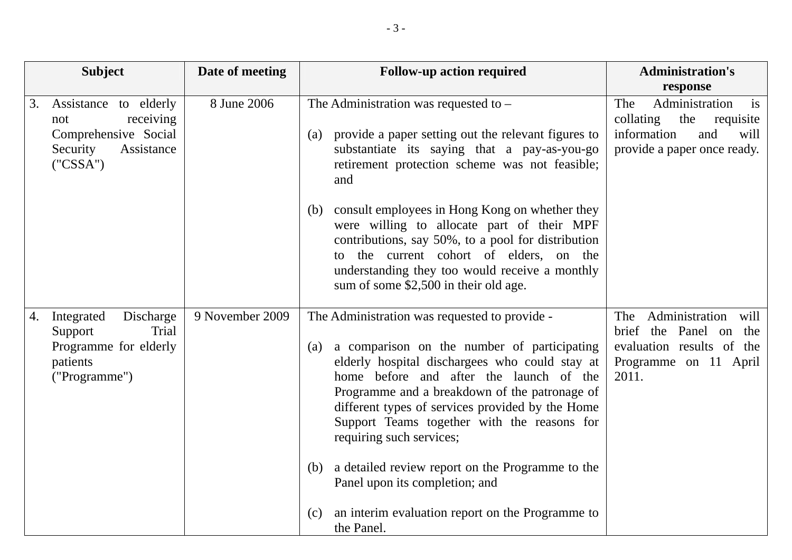|    | <b>Subject</b>                                                                                          | Date of meeting | <b>Follow-up action required</b>                                                                                                                                                                                                                                                                                                                                                 | <b>Administration's</b><br>response                                                                                          |
|----|---------------------------------------------------------------------------------------------------------|-----------------|----------------------------------------------------------------------------------------------------------------------------------------------------------------------------------------------------------------------------------------------------------------------------------------------------------------------------------------------------------------------------------|------------------------------------------------------------------------------------------------------------------------------|
| 3. | Assistance to elderly<br>receiving<br>not<br>Comprehensive Social<br>Security<br>Assistance<br>("CSSA") | 8 June 2006     | The Administration was requested to $-$<br>provide a paper setting out the relevant figures to<br>(a)<br>substantiate its saying that a pay-as-you-go<br>retirement protection scheme was not feasible;<br>and                                                                                                                                                                   | Administration<br>The<br>is<br>collating<br>the<br>requisite<br>information<br>and<br>will<br>provide a paper once ready.    |
|    |                                                                                                         |                 | consult employees in Hong Kong on whether they<br>(b)<br>were willing to allocate part of their MPF<br>contributions, say 50%, to a pool for distribution<br>the current cohort of elders, on the<br>to<br>understanding they too would receive a monthly<br>sum of some \$2,500 in their old age.                                                                               |                                                                                                                              |
| 4. | Discharge<br>Integrated<br>Trial<br>Support<br>Programme for elderly<br>patients<br>("Programme")       | 9 November 2009 | The Administration was requested to provide -<br>a comparison on the number of participating<br>(a)<br>elderly hospital dischargees who could stay at<br>home before and after the launch of the<br>Programme and a breakdown of the patronage of<br>different types of services provided by the Home<br>Support Teams together with the reasons for<br>requiring such services; | Administration<br>The<br>will<br>brief<br>Panel on the<br>the<br>evaluation results of the<br>Programme on 11 April<br>2011. |
|    |                                                                                                         |                 | a detailed review report on the Programme to the<br>(b)<br>Panel upon its completion; and<br>an interim evaluation report on the Programme to<br>(c)<br>the Panel.                                                                                                                                                                                                               |                                                                                                                              |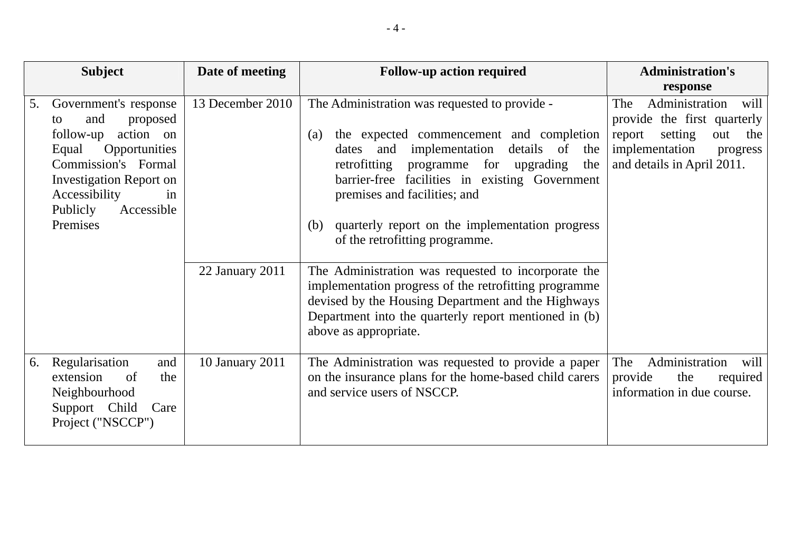|    | <b>Subject</b>                                                                                                                                                                                                           | Date of meeting  | <b>Follow-up action required</b>                                                                                                                                                                                                                                                                                                                                                           | <b>Administration's</b>                                                                                                                                     |
|----|--------------------------------------------------------------------------------------------------------------------------------------------------------------------------------------------------------------------------|------------------|--------------------------------------------------------------------------------------------------------------------------------------------------------------------------------------------------------------------------------------------------------------------------------------------------------------------------------------------------------------------------------------------|-------------------------------------------------------------------------------------------------------------------------------------------------------------|
|    |                                                                                                                                                                                                                          |                  |                                                                                                                                                                                                                                                                                                                                                                                            | response                                                                                                                                                    |
| 5. | Government's response<br>and<br>proposed<br>to<br>action on<br>follow-up<br>Equal<br>Opportunities<br>Commission's Formal<br><b>Investigation Report on</b><br>Accessibility<br>in<br>Publicly<br>Accessible<br>Premises | 13 December 2010 | The Administration was requested to provide -<br>the expected commencement and completion<br>(a)<br>details of<br>implementation<br>and<br>the<br>dates<br>retrofitting<br>for upgrading<br>programme<br>the<br>barrier-free facilities in existing Government<br>premises and facilities; and<br>quarterly report on the implementation progress<br>(b)<br>of the retrofitting programme. | Administration<br>will<br>The<br>provide the first quarterly<br>setting<br>out<br>report<br>the<br>implementation<br>progress<br>and details in April 2011. |
|    |                                                                                                                                                                                                                          | 22 January 2011  | The Administration was requested to incorporate the<br>implementation progress of the retrofitting programme<br>devised by the Housing Department and the Highways<br>Department into the quarterly report mentioned in (b)<br>above as appropriate.                                                                                                                                       |                                                                                                                                                             |
| 6. | Regularisation<br>and<br>extension<br>the<br>of<br>Neighbourhood<br>Support Child<br>Care<br>Project ("NSCCP")                                                                                                           | 10 January 2011  | The Administration was requested to provide a paper<br>on the insurance plans for the home-based child carers<br>and service users of NSCCP.                                                                                                                                                                                                                                               | The<br>Administration<br>will<br>provide<br>the<br>required<br>information in due course.                                                                   |